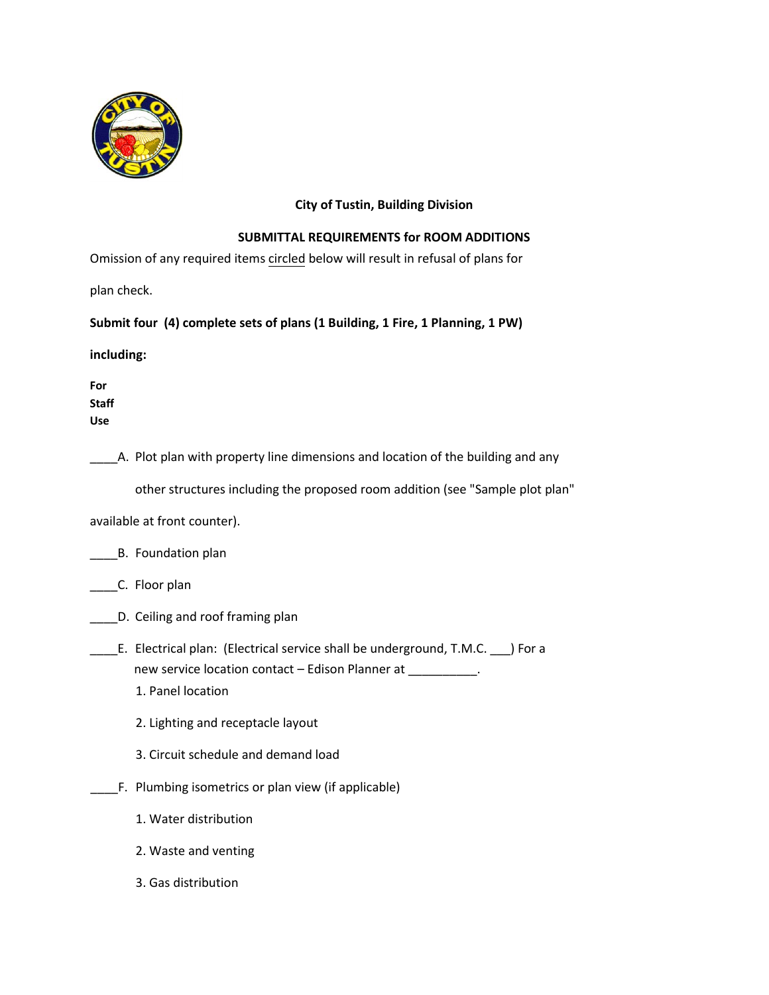

## **City of Tustin, Building Division**

## **SUBMITTAL REQUIREMENTS for ROOM ADDITIONS**

Omission of any required items circled below will result in refusal of plans for

plan check.

## **Submit four (4) complete sets of plans (1 Building, 1 Fire, 1 Planning, 1 PW)**

**including:** 

**For Staff Use** 

\_\_\_\_A. Plot plan with property line dimensions and location of the building and any

other structures including the proposed room addition (see "Sample plot plan"

available at front counter).

|  | B. Foundation plan |  |
|--|--------------------|--|
|--|--------------------|--|

C. Floor plan

- \_\_\_\_D. Ceiling and roof framing plan
- \_\_\_\_E. Electrical plan: (Electrical service shall be underground, T.M.C. \_\_\_) For a new service location contact - Edison Planner at \_\_\_\_\_\_\_\_\_\_\_.
	- 1. Panel location
	- 2. Lighting and receptacle layout
	- 3. Circuit schedule and demand load
- \_\_\_\_F. Plumbing isometrics or plan view (if applicable)
	- 1. Water distribution
	- 2. Waste and venting
	- 3. Gas distribution